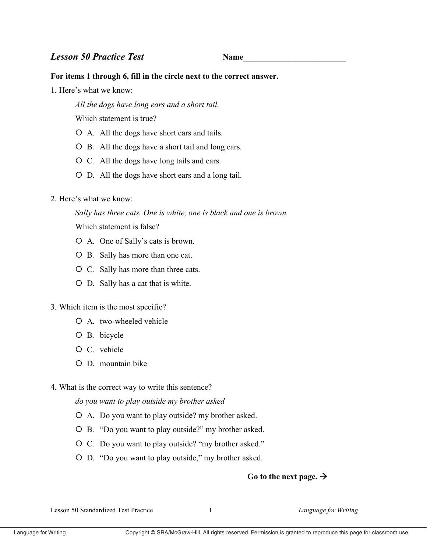## For items 1 through 6, fill in the circle next to the correct answer.

1 Here's what we know

All the dogs have long ears and a short tail.

Which statement is true?

- O A. All the dogs have short ears and tails.
- O B. All the dogs have a short tail and long ears.
- O C. All the dogs have long tails and ears.
- O D. All the dogs have short ears and a long tail.
- 2. Here's what we know:

Sally has three cats. One is white, one is black and one is brown. Which statement is false?

- O A. One of Sally's cats is brown.
- O B. Sally has more than one cat.
- O C. Sally has more than three cats.
- O D. Sally has a cat that is white.

### 3. Which item is the most specific?

- O A. two-wheeled vehicle
- O B. bicycle
- O C. vehicle
- O D. mountain bike
- 4. What is the correct way to write this sentence?

do you want to play outside my brother asked

- O A. Do you want to play outside? my brother asked.
- O B. "Do you want to play outside?" my brother asked.
- O C. Do you want to play outside? "my brother asked."
- O D. "Do you want to play outside," my brother asked.

# Go to the next page.  $\rightarrow$

Lesson 50 Standardized Test Practice

 $\mathbf{1}$ 

Language for Writing